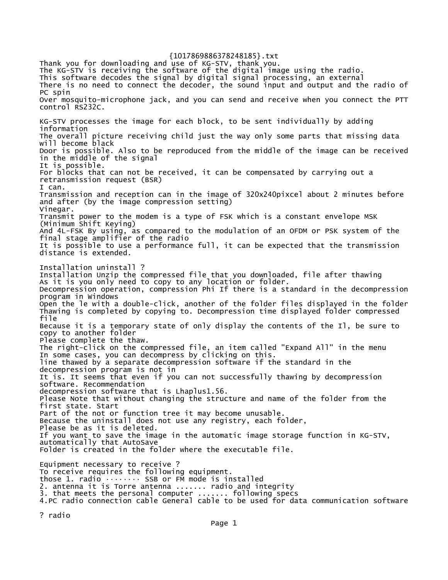Thank you for downloading and use of KG-STV, thank you. The KG-STV is receiving the software of the digital image using the radio. This software decodes the signal by digital signal processing, an external There is no need to connect the decoder, the sound input and output and the radio of PC spin Over mosquito-microphone jack, and you can send and receive when you connect the PTT control RS232C. KG-STV processes the image for each block, to be sent individually by adding information The overall picture receiving child just the way only some parts that missing data will become black Door is possible. Also to be reproduced from the middle of the image can be received in the middle of the signal It is possible. For blocks that can not be received, it can be compensated by carrying out a retransmission request (BSR) I can. Transmission and reception can in the image of 320x240pixcel about 2 minutes before and after (by the image compression setting) Vinegar. Transmit power to the modem is a type of FSK which is a constant envelope MSK (Minimum Shift Keying) And 4L-FSK By using, as compared to the modulation of an OFDM or PSK system of the final stage amplifier of the radio It is possible to use a performance full, it can be expected that the transmission distance is extended. Installation uninstall ? Installation Unzip the compressed file that you downloaded, file after thawing As it is you only need to copy to any location or folder. Decompression operation, compression Phi If there is a standard in the decompression program in Windows Open the le with a double-click, another of the folder files displayed in the folder Thawing is completed by copying to. Decompression time displayed folder compressed file Because it is a temporary state of only display the contents of the Il, be sure to copy to another folder Please complete the thaw. The right-click on the compressed file, an item called "Expand All" in the menu In some cases, you can decompress by clicking on this. line thawed by a separate decompression software if the standard in the decompression program is not in It is. It seems that even if you can not successfully thawing by decompression software. Recommendation decompression software that is Lhaplus1.56. Please Note that without changing the structure and name of the folder from the first state. Start Part of the not or function tree it may become unusable. Because the uninstall does not use any registry, each folder, Please be as it is deleted. If you want to save the image in the automatic image storage function in KG-STV, automatically that AutoSave Folder is created in the folder where the executable file. Equipment necessary to receive ? To receive requires the following equipment. those 1. radio  $\cdots \cdots$  SSB or FM mode is installed 2. antenna it is Torre antenna ....... radio and integrity 3. that meets the personal computer ....... following specs 4.PC radio connection cable General cable to be used for data communication software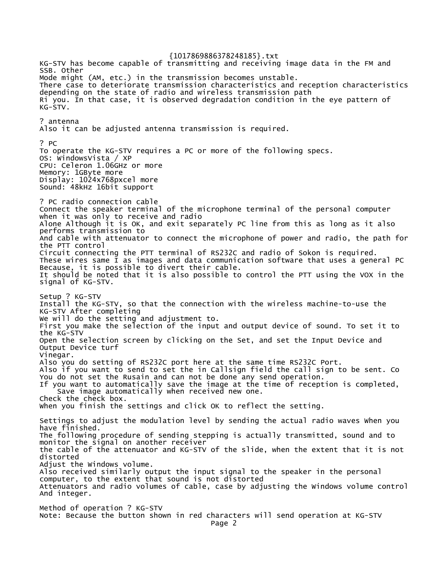{1017869886378248185}.txt KG-STV has become capable of transmitting and receiving image data in the FM and SSB. Other Mode might (AM, etc.) in the transmission becomes unstable. There case to deteriorate transmission characteristics and reception characteristics depending on the state of radio and wireless transmission path Ri you. In that case, it is observed degradation condition in the eye pattern of KG-STV. ? antenna Also it can be adjusted antenna transmission is required. ? PC To operate the KG-STV requires a PC or more of the following specs. OS: WindowsVista / XP CPU: Celeron 1.06GHz or more Memory: 1GByte more Display: 1024x768pxcel more Sound: 48kHz 16bit support ? PC radio connection cable Connect the speaker terminal of the microphone terminal of the personal computer when it was only to receive and radio Alone Although it is OK, and exit separately PC line from this as long as it also performs transmission to And cable with attenuator to connect the microphone of power and radio, the path for the PTT control Circuit connecting the PTT terminal of RS232C and radio of Sokon is required. These wires same I as images and data communication software that uses a general PC Because, it is possible to divert their cable. It should be noted that it is also possible to control the PTT using the VOX in the signal of KG-STV. Setup ? KG-STV Install the KG-STV, so that the connection with the wireless machine-to-use the KG-STV After completing We will do the setting and adjustment to. First you make the selection of the input and output device of sound. To set it to the KG-STV Open the selection screen by clicking on the Set, and set the Input Device and Output Device turf Vinegar. Also you do setting of RS232C port here at the same time RS232C Port. Also if you want to send to set the in Callsign field the call sign to be sent. Co You do not set the Rusain and can not be done any send operation. If you want to automatically save the image at the time of reception is completed, Save image automatically when received new one. Check the check box. When you finish the settings and click OK to reflect the setting. Settings to adjust the modulation level by sending the actual radio waves When you have finished. The following procedure of sending stepping is actually transmitted, sound and to monitor the signal on another receiver the cable of the attenuator and KG-STV of the slide, when the extent that it is not distorted Adjust the Windows volume. Also received similarly output the input signal to the speaker in the personal computer, to the extent that sound is not distorted Attenuators and radio volumes of cable, case by adjusting the Windows volume control And integer. Method of operation ? KG-STV Note: Because the button shown in red characters will send operation at KG-STV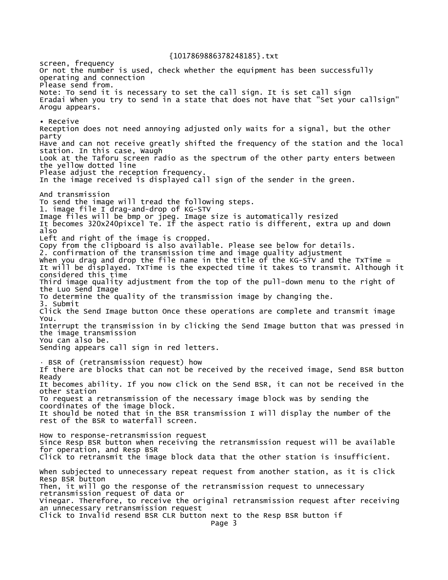screen, frequency Or not the number is used, check whether the equipment has been successfully operating and connection Please send from. Note: To send it is necessary to set the call sign. It is set call sign Eradai When you try to send in a state that does not have that "Set your callsign" Arogu appears. • Receive Reception does not need annoying adjusted only waits for a signal, but the other party Have and can not receive greatly shifted the frequency of the station and the local station. In this case, Waugh Look at the Taforu screen radio as the spectrum of the other party enters between the yellow dotted line Please adjust the reception frequency In the image received is displayed call sign of the sender in the green. And transmission To send the image will tread the following steps. 1. image file I drag-and-drop of KG-STV Image files will be bmp or jpeg. Image size is automatically resized It becomes 320x240pixcel Te. If the aspect ratio is different, extra up and down also Left and right of the image is cropped. Copy from the clipboard is also available. Please see below for details. 2. confirmation of the transmission time and image quality adjustment When you drag and drop the file name in the title of the KG-STV and the TxTime = It will be displayed. TxTime is the expected time it takes to transmit. Although it considered this time Third image quality adjustment from the top of the pull-down menu to the right of the Luo Send Image To determine the quality of the transmission image by changing the. 3. Submit Click the Send Image button Once these operations are complete and transmit image You. Interrupt the transmission in by clicking the Send Image button that was pressed in the image transmission You can also be. Sending appears call sign in red letters.  $-B$ SR of (retransmission request) how If there are blocks that can not be received by the received image, Send BSR button Ready It becomes ability. If you now click on the Send BSR, it can not be received in the other station To request a retransmission of the necessary image block was by sending the coordinates of the image block. It should be noted that in the BSR transmission I will display the number of the rest of the BSR to waterfall screen. How to response-retransmission request Since Resp BSR button when receiving the retransmission request will be available for operation, and Resp BSR Click to retransmit the image block data that the other station is insufficient. When subjected to unnecessary repeat request from another station, as it is click Resp BSR button Then, it will go the response of the retransmission request to unnecessary retransmission request of data or Vinegar. Therefore, to receive the original retransmission request after receiving an unnecessary retransmission request Click to Invalid resend BSR CLR button next to the Resp BSR button if Page 3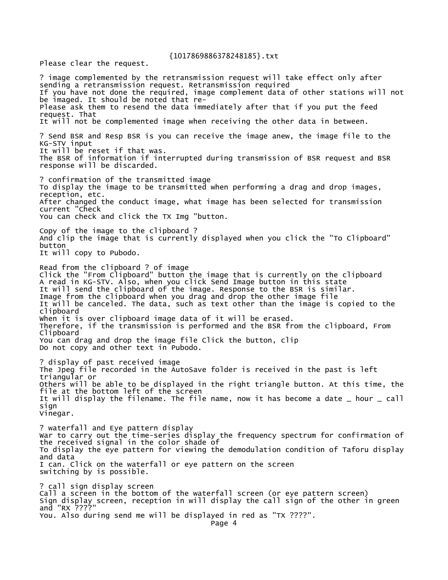Please clear the request.

? image complemented by the retransmission request will take effect only after sending a retransmission request. Retransmission required If you have not done the required, image complement data of other stations will not be imaged. It should be noted that re-Please ask them to resend the data immediately after that if you put the feed request. That It will not be complemented image when receiving the other data in between. ? Send BSR and Resp BSR is you can receive the image anew, the image file to the KG-STV input It will be reset if that was. The BSR of information if interrupted during transmission of BSR request and BSR response will be discarded. ? confirmation of the transmitted image To display the image to be transmitted when performing a drag and drop images, reception, etc. After changed the conduct image, what image has been selected for transmission current "Check You can check and click the TX Img "button. Copy of the image to the clipboard ? And clip the image that is currently displayed when you click the "To Clipboard" button It will copy to Pubodo. Read from the clipboard ? of image Click the "From Clipboard" button the image that is currently on the clipboard A read in KG-STV. Also, when you click Send Image button in this state It will send the clipboard of the image. Response to the BSR is similar. Image from the clipboard when you drag and drop the other image file It will be canceled. The data, such as text other than the image is copied to the clipboard When it is over clipboard image data of it will be erased. Therefore, if the transmission is performed and the BSR from the clipboard, From Clipboard You can drag and drop the image file Click the button, clip Do not copy and other text in Pubodo. ? display of past received image The Jpeg file recorded in the AutoSave folder is received in the past is left triangular or Others will be able to be displayed in the right triangle button. At this time, the file at the bottom left of the screen It will display the filename. The file name, now it has become a date \_ hour \_ call sign Vinegar. ? waterfall and Eye pattern display War to carry out the time-series display the frequency spectrum for confirmation of the received signal in the color shade of To display the eye pattern for viewing the demodulation condition of Taforu display and data I can. Click on the waterfall or eye pattern on the screen switching by is possible. ? call sign display screen Call a screen in the bottom of the waterfall screen (or eye pattern screen) Sign display screen, reception in will display the call sign of the other in green and "RX ????" You. Also during send me will be displayed in red as "TX ????".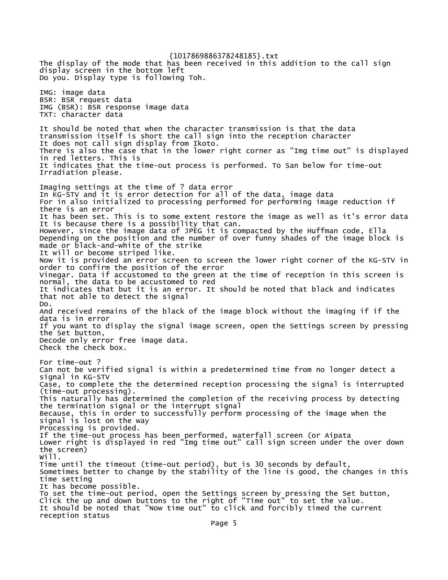{1017869886378248185}.txt The display of the mode that has been received in this addition to the call sign display screen in the bottom left Do you. Display type is following Toh. IMG: image data BSR: BSR request data IMG (BSR): BSR response image data TXT: character data It should be noted that when the character transmission is that the data transmission itself is short the call sign into the reception character It does not call sign display from Ikoto. There is also the case that in the lower right corner as "Img time out" is displayed in red letters. This is It indicates that the time-out process is performed. To San below for time-out Irradiation please. Imaging settings at the time of ? data error In KG-STV and it is error detection for all of the data, image data For in also initialized to processing performed for performing image reduction if there is an error It has been set. This is to some extent restore the image as well as it's error data It is because there is a possibility that can. However, since the image data of JPEG it is compacted by the Huffman code, Ella Depending on the position and the number of over funny shades of the image block is made or black-and-white of the strike It will or become striped like. Now it is provided an error screen to screen the lower right corner of the KG-STV in order to confirm the position of the error Vinegar. Data if accustomed to the green at the time of reception in this screen is normal, the data to be accustomed to red It indicates that but it is an error. It should be noted that black and indicates that not able to detect the signal Do. And received remains of the black of the image block without the imaging if if the data is in error If you want to display the signal image screen, open the Settings screen by pressing the Set button, Decode only error free image data. Check the check box. For time-out ? Can not be verified signal is within a predetermined time from no longer detect a signal in KG-STV Case, to complete the the determined reception processing the signal is interrupted (time-out processing). This naturally has determined the completion of the receiving process by detecting the termination signal or the interrupt signal Because, this in order to successfully perform processing of the image when the signal is lost on the way Processing is provided. If the time-out process has been performed, waterfall screen (or Aipata Lower right is displayed in red "Img time out" call sign screen under the over down the screen) Will. Time until the timeout (time-out period), but is 30 seconds by default, Sometimes better to change by the stability of the line is good, the changes in this time setting It has become possible. To set the time-out period, open the Settings screen by pressing the Set button, Click the up and down buttons to the right of "Time out" to set the value. It should be noted that "Now time out" to click and forcibly timed the current reception status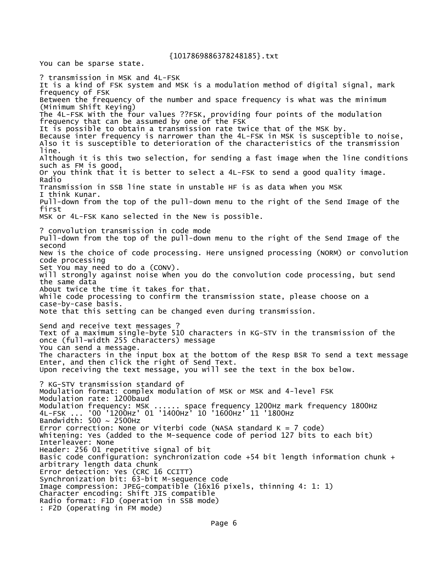You can be sparse state.

? transmission in MSK and 4L-FSK It is a kind of FSK system and MSK is a modulation method of digital signal, mark frequency of FSK Between the frequency of the number and space frequency is what was the minimum (Minimum Shift Keying) The 4L-FSK With the four values ??FSK, providing four points of the modulation frequency that can be assumed by one of the FSK It is possible to obtain a transmission rate twice that of the MSK by. Because inter frequency is narrower than the 4L-FSK in MSK is susceptible to noise, Also it is susceptible to deterioration of the characteristics of the transmission line. Although it is this two selection, for sending a fast image when the line conditions such as FM is good, Or you think that it is better to select a 4L-FSK to send a good quality image. Radio Transmission in SSB line state in unstable HF is as data When you MSK I think Kunar. Pull-down from the top of the pull-down menu to the right of the Send Image of the first MSK or 4L-FSK Kano selected in the New is possible. ? convolution transmission in code mode Pull-down from the top of the pull-down menu to the right of the Send Image of the second New is the choice of code processing. Here unsigned processing (NORM) or convolution code processing Set You may need to do a (CONV). will strongly against noise When you do the convolution code processing, but send the same data About twice the time it takes for that. While code processing to confirm the transmission state, please choose on a case-by-case basis. Note that this setting can be changed even during transmission. Send and receive text messages ? Text of a maximum single-byte 510 characters in KG-STV in the transmission of the once (full-width 255 characters) message You can send a message. The characters in the input box at the bottom of the Resp BSR To send a text message Enter, and then click the right of Send Text. Upon receiving the text message, you will see the text in the box below. ? KG-STV transmission standard of Modulation format: complex modulation of MSK or MSK and 4-level FSK Modulation rate: 1200baud Modulation frequency: MSK ...... space frequency 1200Hz mark frequency 1800Hz 4L-FSK ... '00 '1200Hz' 01 '1400Hz' 10 '1600Hz' 11 '1800Hz Bandwidth:  $500 \sim 2500$ Hz Error correction: None or Viterbi code (NASA standard  $K = 7$  code) Whitening: Yes (added to the M-sequence code of period 127 bits to each bit) Interleaver: None Header: 256 01 repetitive signal of bit Basic code configuration: synchronization code +54 bit length information chunk + arbitrary length data chunk Error detection: Yes (CRC 16 CCITT) Synchronization bit: 63-bit M-sequence code Image compression: JPEG-compatible (16x16 pixels, thinning 4: 1: 1) Character encoding: Shift JIS compatible Radio format: F1D (operation in SSB mode) : F2D (operating in FM mode)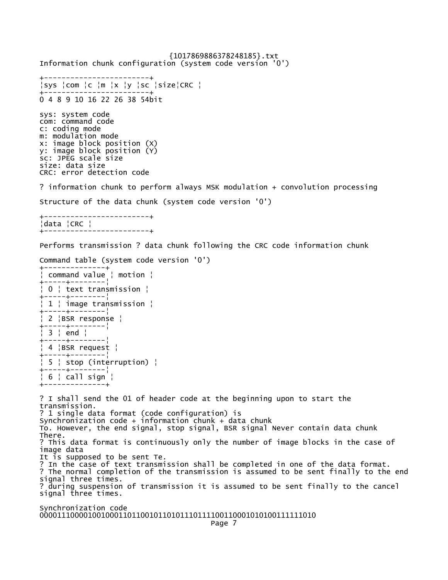{1017869886378248185}.txt Information chunk configuration (system code version '0') +------------------------+ ¦sys ¦com ¦c ¦m ¦x ¦y ¦sc ¦size¦CRC ¦ +------------------------+ 0 4 8 9 10 16 22 26 38 54bit sys: system code com: command code c: coding mode m: modulation mode x: image block position (X) y: image block position (Y) sc: JPEG scale size size: data size CRC: error detection code ? information chunk to perform always MSK modulation + convolution processing Structure of the data chunk (system code version '0') +------------------------+ ¦data ¦CRC ¦ +------------------------+ Performs transmission ? data chunk following the CRC code information chunk Command table (system code version '0') +--------------+ ¦ command value ¦ motion ¦ +-----+--------¦ ¦ 0 ¦ text transmission ¦ +-----+--------¦ ¦ 1 ¦ image transmission ¦ +-----+--------¦ ¦ 2 ¦BSR response ¦ +-----+--------¦ ¦ 3 ¦ end ¦ +-----+--------¦ ¦ 4 ¦BSR request ¦ +-----+--------¦ ¦ 5 ¦ stop (interruption) ¦ +-----+--------¦ ¦ 6 ¦ call sign ¦ +--------------+ ? I shall send the 01 of header code at the beginning upon to start the transmission. ? 1 single data format (code configuration) is Synchronization code + information chunk + data chunk To. However, the end signal, stop signal, BSR signal Never contain data chunk There. ? This data format is continuously only the number of image blocks in the case of image data It is supposed to be sent Te. ? In the case of text transmission shall be completed in one of the data format. ? The normal completion of the transmission is assumed to be sent finally to the end signal three times. ? during suspension of transmission it is assumed to be sent finally to the cancel signal three times. Synchronization code

000011100001001000110110010110101110111100110001010100111111010 Page 7